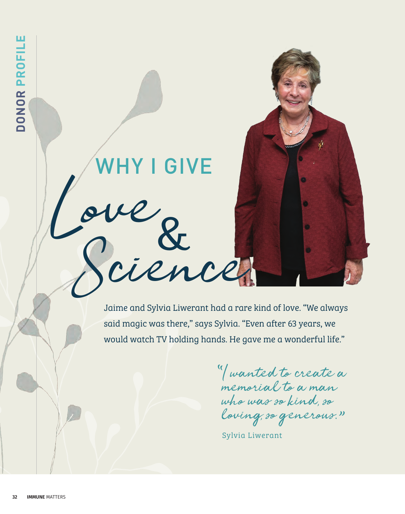

I wanted to create a memorial to a man who was so kind, so loving, so generous. "  $\mathcal{U}$ 

Sylvia Liwerant